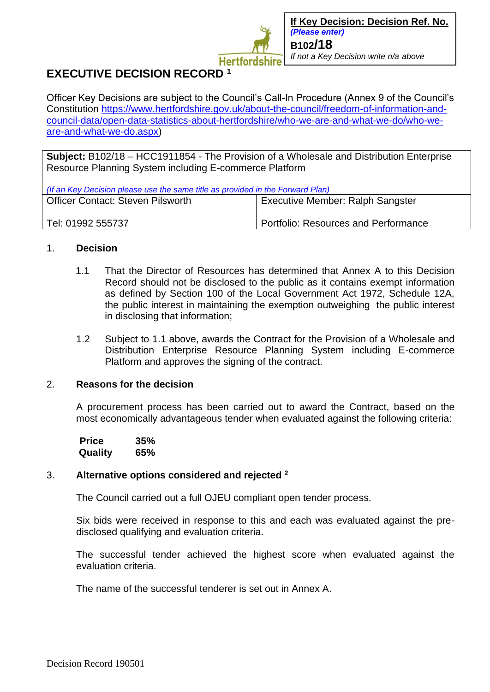

# **EXECUTIVE DECISION RECORD <sup>1</sup>**

Officer Key Decisions are subject to the Council's Call-In Procedure (Annex 9 of the Council's Constitution [https://www.hertfordshire.gov.uk/about-the-council/freedom-of-information-and](https://www.hertfordshire.gov.uk/about-the-council/freedom-of-information-and-council-data/open-data-statistics-about-hertfordshire/who-we-are-and-what-we-do/who-we-are-and-what-we-do.aspx)[council-data/open-data-statistics-about-hertfordshire/who-we-are-and-what-we-do/who-we](https://www.hertfordshire.gov.uk/about-the-council/freedom-of-information-and-council-data/open-data-statistics-about-hertfordshire/who-we-are-and-what-we-do/who-we-are-and-what-we-do.aspx)[are-and-what-we-do.aspx\)](https://www.hertfordshire.gov.uk/about-the-council/freedom-of-information-and-council-data/open-data-statistics-about-hertfordshire/who-we-are-and-what-we-do/who-we-are-and-what-we-do.aspx)

**Subject:** B102/18 – HCC1911854 - The Provision of a Wholesale and Distribution Enterprise Resource Planning System including E-commerce Platform

| (If an Key Decision please use the same title as provided in the Forward Plan) |                                         |
|--------------------------------------------------------------------------------|-----------------------------------------|
| <b>Officer Contact: Steven Pilsworth</b>                                       | <b>Executive Member: Ralph Sangster</b> |
|                                                                                |                                         |
| Tel: 01992 555737                                                              | Portfolio: Resources and Performance    |

### 1. **Decision**

- 1.1 That the Director of Resources has determined that Annex A to this Decision Record should not be disclosed to the public as it contains exempt information as defined by Section 100 of the Local Government Act 1972, Schedule 12A, the public interest in maintaining the exemption outweighing the public interest in disclosing that information;
- 1.2 Subject to 1.1 above, awards the Contract for the Provision of a Wholesale and Distribution Enterprise Resource Planning System including E-commerce Platform and approves the signing of the contract.

#### 2. **Reasons for the decision**

A procurement process has been carried out to award the Contract, based on the most economically advantageous tender when evaluated against the following criteria:

 **Price 35% Quality 65%**

## 3. **Alternative options considered and rejected <sup>2</sup>**

The Council carried out a full OJEU compliant open tender process.

Six bids were received in response to this and each was evaluated against the predisclosed qualifying and evaluation criteria.

The successful tender achieved the highest score when evaluated against the evaluation criteria.

The name of the successful tenderer is set out in Annex A.